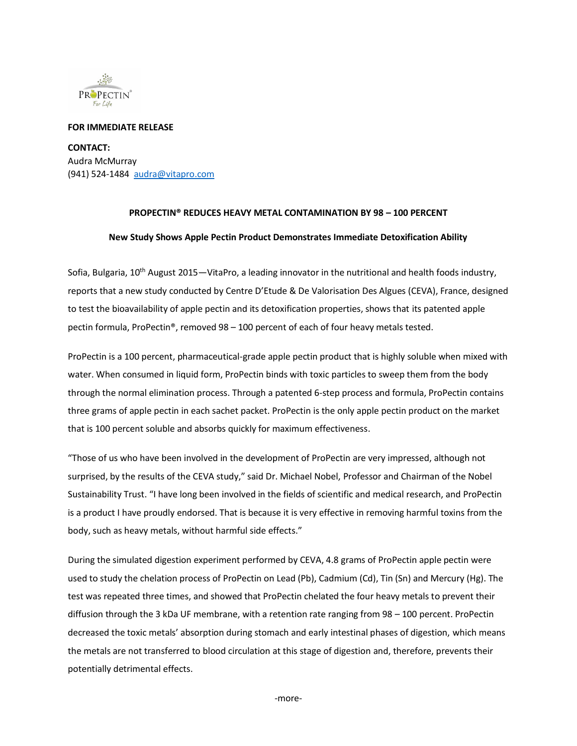

## **FOR IMMEDIATE RELEASE**

**CONTACT:**  Audra McMurray (941) 524-1484 [audra@vitapro.com](mailto:audra@vitapro.com)

## **PROPECTIN® REDUCES HEAVY METAL CONTAMINATION BY 98 – 100 PERCENT**

## **New Study Shows Apple Pectin Product Demonstrates Immediate Detoxification Ability**

Sofia, Bulgaria, 10<sup>th</sup> August 2015—VitaPro, a leading innovator in the nutritional and health foods industry, reports that a new study conducted by Centre D'Etude & De Valorisation Des Algues (CEVA), France, designed to test the bioavailability of apple pectin and its detoxification properties, shows that its patented apple pectin formula, ProPectin®, removed 98 – 100 percent of each of four heavy metals tested.

ProPectin is a 100 percent, pharmaceutical-grade apple pectin product that is highly soluble when mixed with water. When consumed in liquid form, ProPectin binds with toxic particles to sweep them from the body through the normal elimination process. Through a patented 6-step process and formula, ProPectin contains three grams of apple pectin in each sachet packet. ProPectin is the only apple pectin product on the market that is 100 percent soluble and absorbs quickly for maximum effectiveness.

"Those of us who have been involved in the development of ProPectin are very impressed, although not surprised, by the results of the CEVA study," said Dr. Michael Nobel, Professor and Chairman of the Nobel Sustainability Trust. "I have long been involved in the fields of scientific and medical research, and ProPectin is a product I have proudly endorsed. That is because it is very effective in removing harmful toxins from the body, such as heavy metals, without harmful side effects."

During the simulated digestion experiment performed by CEVA, 4.8 grams of ProPectin apple pectin were used to study the chelation process of ProPectin on Lead (Pb), Cadmium (Cd), Tin (Sn) and Mercury (Hg). The test was repeated three times, and showed that ProPectin chelated the four heavy metals to prevent their diffusion through the 3 kDa UF membrane, with a retention rate ranging from 98 – 100 percent. ProPectin decreased the toxic metals' absorption during stomach and early intestinal phases of digestion, which means the metals are not transferred to blood circulation at this stage of digestion and, therefore, prevents their potentially detrimental effects.